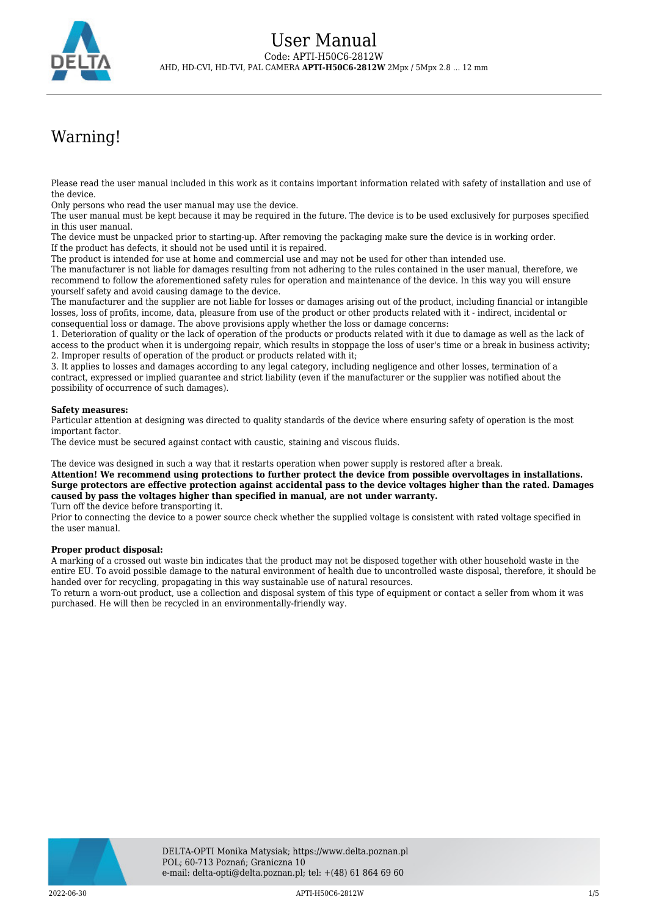

# Warning!

Please read the user manual included in this work as it contains important information related with safety of installation and use of the device.

Only persons who read the user manual may use the device.

The user manual must be kept because it may be required in the future. The device is to be used exclusively for purposes specified in this user manual.

The device must be unpacked prior to starting-up. After removing the packaging make sure the device is in working order. If the product has defects, it should not be used until it is repaired.

The product is intended for use at home and commercial use and may not be used for other than intended use.

The manufacturer is not liable for damages resulting from not adhering to the rules contained in the user manual, therefore, we recommend to follow the aforementioned safety rules for operation and maintenance of the device. In this way you will ensure yourself safety and avoid causing damage to the device.

The manufacturer and the supplier are not liable for losses or damages arising out of the product, including financial or intangible losses, loss of profits, income, data, pleasure from use of the product or other products related with it - indirect, incidental or consequential loss or damage. The above provisions apply whether the loss or damage concerns:

1. Deterioration of quality or the lack of operation of the products or products related with it due to damage as well as the lack of access to the product when it is undergoing repair, which results in stoppage the loss of user's time or a break in business activity; 2. Improper results of operation of the product or products related with it;

3. It applies to losses and damages according to any legal category, including negligence and other losses, termination of a contract, expressed or implied guarantee and strict liability (even if the manufacturer or the supplier was notified about the possibility of occurrence of such damages).

#### **Safety measures:**

Particular attention at designing was directed to quality standards of the device where ensuring safety of operation is the most important factor.

The device must be secured against contact with caustic, staining and viscous fluids.

The device was designed in such a way that it restarts operation when power supply is restored after a break.

**Attention! We recommend using protections to further protect the device from possible overvoltages in installations. Surge protectors are effective protection against accidental pass to the device voltages higher than the rated. Damages caused by pass the voltages higher than specified in manual, are not under warranty.**

Turn off the device before transporting it.

Prior to connecting the device to a power source check whether the supplied voltage is consistent with rated voltage specified in the user manual.

#### **Proper product disposal:**

A marking of a crossed out waste bin indicates that the product may not be disposed together with other household waste in the entire EU. To avoid possible damage to the natural environment of health due to uncontrolled waste disposal, therefore, it should be handed over for recycling, propagating in this way sustainable use of natural resources.

To return a worn-out product, use a collection and disposal system of this type of equipment or contact a seller from whom it was purchased. He will then be recycled in an environmentally-friendly way.

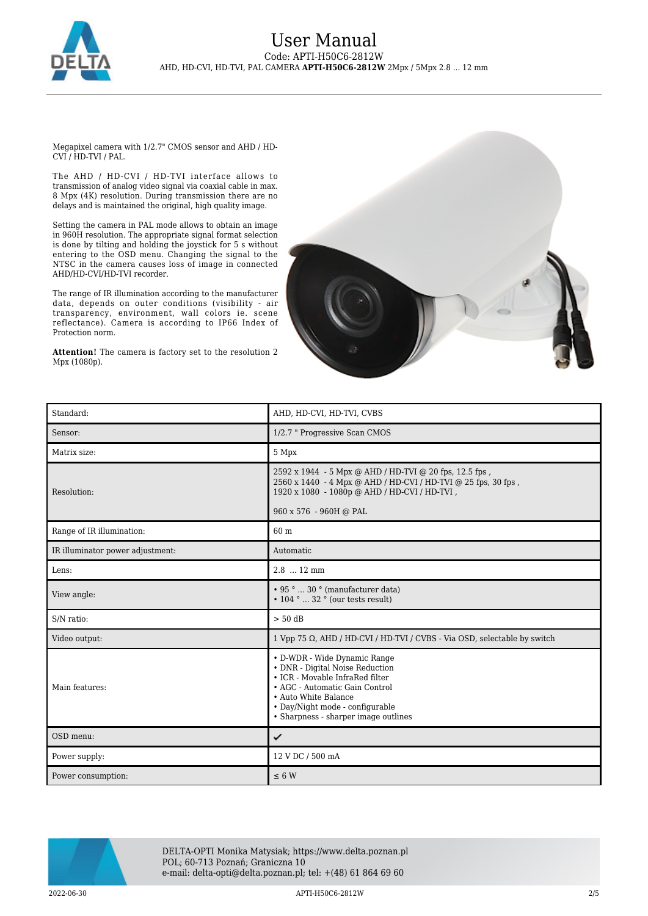

### User Manual Code: APTI-H50C6-2812W AHD, HD-CVI, HD-TVI, PAL CAMERA **APTI-H50C6-2812W** 2Mpx / 5Mpx 2.8 ... 12 mm

Megapixel camera with 1/2.7" CMOS sensor and AHD / HD-CVI / HD-TVI / PAL.

The AHD / HD-CVI / HD-TVI interface allows to transmission of analog video signal via coaxial cable in max. 8 Mpx (4K) resolution. During transmission there are no delays and is maintained the original, high quality image.

Setting the camera in PAL mode allows to obtain an image in 960H resolution. The appropriate signal format selection is done by tilting and holding the joystick for 5 s without entering to the OSD menu. Changing the signal to the NTSC in the camera causes loss of image in connected AHD/HD-CVI/HD-TVI recorder.

The range of IR illumination according to the manufacturer data, depends on outer conditions (visibility - air transparency, environment, wall colors ie. scene reflectance). Camera is according to IP66 Index of Protection norm.

**Attention!** The camera is factory set to the resolution 2 Mpx (1080p).



| Standard:                        | AHD, HD-CVI, HD-TVI, CVBS                                                                                                                                                                                                               |
|----------------------------------|-----------------------------------------------------------------------------------------------------------------------------------------------------------------------------------------------------------------------------------------|
| Sensor:                          | 1/2.7 " Progressive Scan CMOS                                                                                                                                                                                                           |
| Matrix size:                     | 5 Mpx                                                                                                                                                                                                                                   |
| Resolution:                      | 2592 x 1944 - 5 Mpx @ AHD / HD-TVI @ 20 fps, 12.5 fps,<br>2560 x 1440 - 4 Mpx @ AHD / HD-CVI / HD-TVI @ 25 fps, 30 fps,<br>1920 x 1080 - 1080p @ AHD / HD-CVI / HD-TVI,<br>960 x 576 - 960H @ PAL                                       |
| Range of IR illumination:        | 60 m                                                                                                                                                                                                                                    |
| IR illuminator power adjustment: | Automatic                                                                                                                                                                                                                               |
| Lens:                            | $2.8$ 12 mm                                                                                                                                                                                                                             |
| View angle:                      | • 95 °  30 ° (manufacturer data)<br>$\cdot$ 104 °  32 ° (our tests result)                                                                                                                                                              |
| S/N ratio:                       | $> 50$ dB                                                                                                                                                                                                                               |
| Video output:                    | 1 Vpp 75 Ω, AHD / HD-CVI / HD-TVI / CVBS - Via OSD, selectable by switch                                                                                                                                                                |
| Main features:                   | • D-WDR - Wide Dynamic Range<br>• DNR - Digital Noise Reduction<br>• ICR - Movable InfraRed filter<br>• AGC - Automatic Gain Control<br>• Auto White Balance<br>• Day/Night mode - configurable<br>• Sharpness - sharper image outlines |
| OSD menu:                        | ✓                                                                                                                                                                                                                                       |
| Power supply:                    | 12 V DC / 500 mA                                                                                                                                                                                                                        |
| Power consumption:               | $\leq 6$ W                                                                                                                                                                                                                              |



DELTA-OPTI Monika Matysiak; https://www.delta.poznan.pl POL; 60-713 Poznań; Graniczna 10 e-mail: delta-opti@delta.poznan.pl; tel: +(48) 61 864 69 60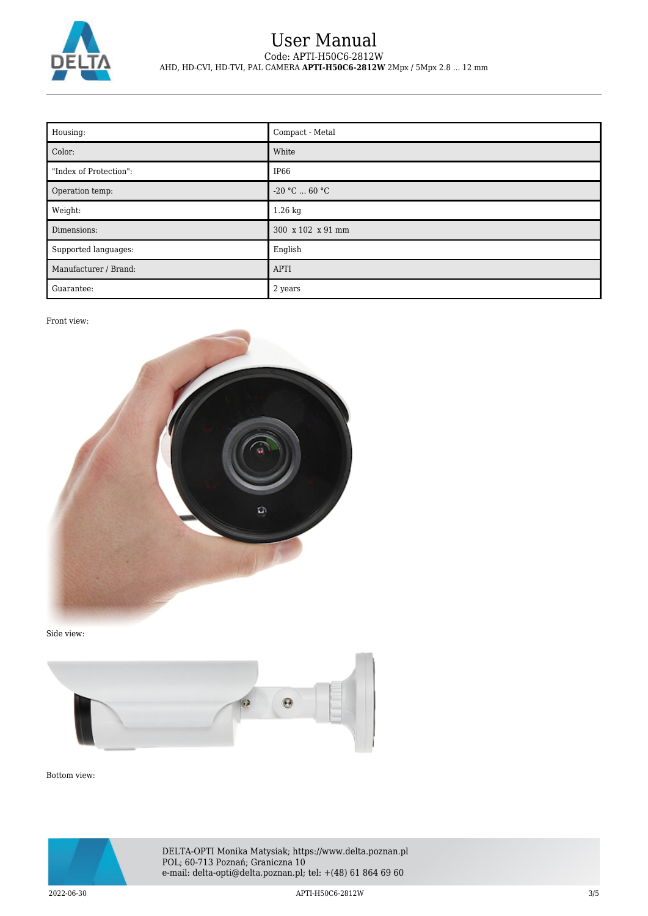

## User Manual Code: APTI-H50C6-2812W AHD, HD-CVI, HD-TVI, PAL CAMERA **APTI-H50C6-2812W** 2Mpx / 5Mpx 2.8 ... 12 mm

| Housing:               | Compact - Metal   |
|------------------------|-------------------|
| Color:                 | White             |
| "Index of Protection": | IP <sub>66</sub>  |
| Operation temp:        | $-20 °C  60 °C$   |
| Weight:                | 1.26 kg           |
| Dimensions:            | 300 x 102 x 91 mm |
| Supported languages:   | English           |
| Manufacturer / Brand:  | <b>APTI</b>       |
| Guarantee:             | 2 years           |

Front view:



Side view:



Bottom view:



DELTA-OPTI Monika Matysiak; https://www.delta.poznan.pl POL; 60-713 Poznań; Graniczna 10 e-mail: delta-opti@delta.poznan.pl; tel: +(48) 61 864 69 60

2022-06-30 APTI-H50C6-2812W 3/5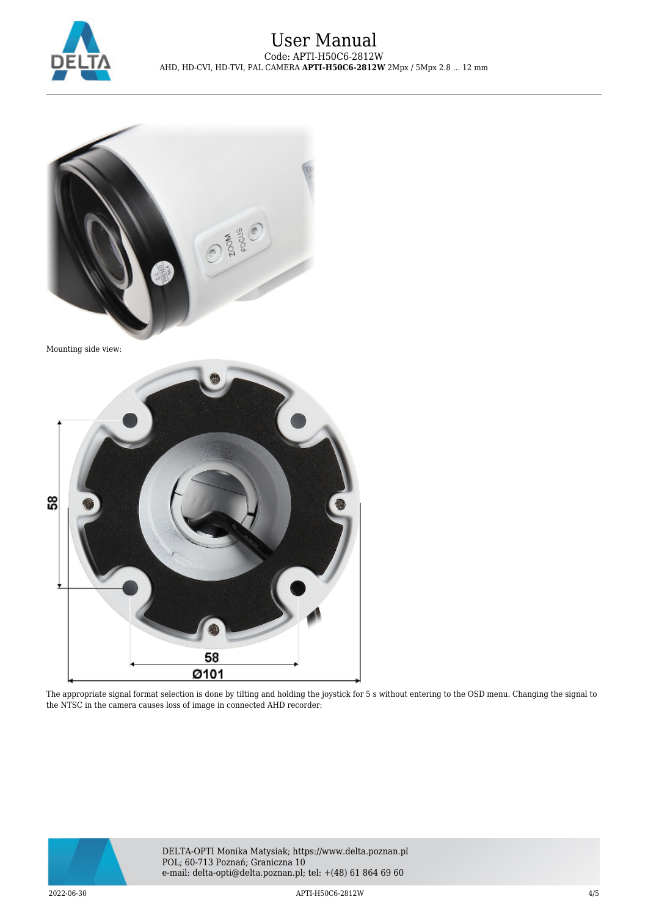



Mounting side view:



The appropriate signal format selection is done by tilting and holding the joystick for 5 s without entering to the OSD menu. Changing the signal to the NTSC in the camera causes loss of image in connected AHD recorder:



DELTA-OPTI Monika Matysiak; https://www.delta.poznan.pl POL; 60-713 Poznań; Graniczna 10 e-mail: delta-opti@delta.poznan.pl; tel: +(48) 61 864 69 60

2022-06-30 APTI-H50C6-2812W 4/5